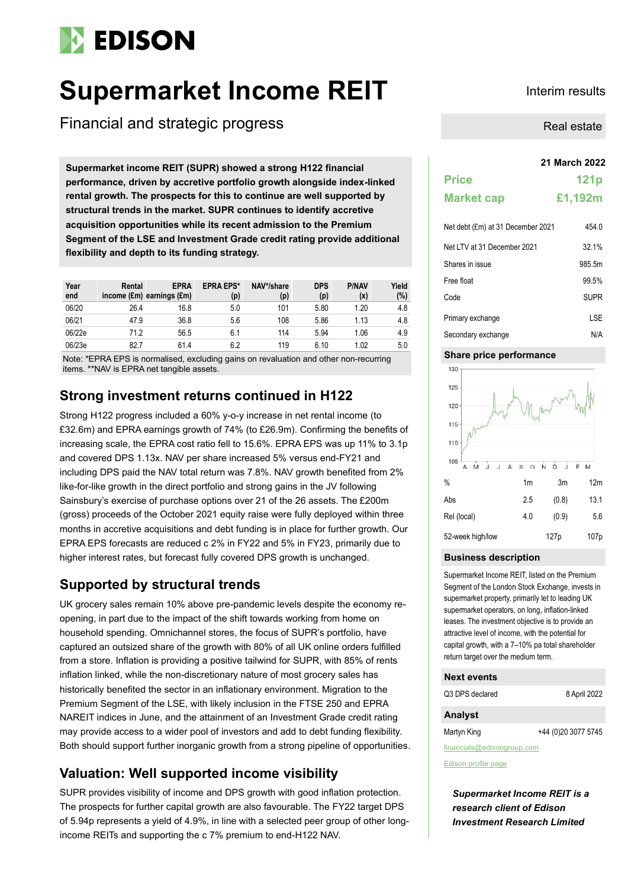# **EDISON**

# **Supermarket Income REIT** Interim results

Financial and strategic progress

**21 March 2022 Supermarket income REIT (SUPR) showed a strong H122 financial performance, driven by accretive portfolio growth alongside index-linked rental growth. The prospects for this to continue are well supported by structural trends in the market. SUPR continues to identify accretive acquisition opportunities while its recent admission to the Premium Segment of the LSE and Investment Grade credit rating provide additional flexibility and depth to its funding strategy.**

| Year<br>end | Rental | <b>EPRA</b><br>income $(\text{Em})$ earnings $(\text{Em})$ | <b>EPRA EPS*</b><br>(p) | NAV*/share<br>(p) | <b>DPS</b><br>(p) | <b>P/NAV</b><br>(x) | Yield<br>(%) |
|-------------|--------|------------------------------------------------------------|-------------------------|-------------------|-------------------|---------------------|--------------|
| 06/20       | 26.4   | 16.8                                                       | 5.0                     | 101               | 5.80              | 1.20                | 4.8          |
| 06/21       | 47.9   | 36.8                                                       | 5.6                     | 108               | 5.86              | 1.13                | 4.8          |
| 06/22e      | 71.2   | 56.5                                                       | 6.1                     | 114               | 5.94              | 1.06                | 4.9          |
| 06/23e      | 82.7   | 61.4                                                       | 6.2                     | 119               | 6.10              | 1.02                | 5.0          |

Note: \*EPRA EPS is normalised, excluding gains on revaluation and other non-recurring items. \*\*NAV is EPRA net tangible assets.

# **Strong investment returns continued in H122**

Strong H122 progress included a 60% y-o-y increase in net rental income (to £32.6m) and EPRA earnings growth of 74% (to £26.9m). Confirming the benefits of increasing scale, the EPRA cost ratio fell to 15.6%. EPRA EPS was up 11% to 3.1p and covered DPS 1.13x. NAV per share increased 5% versus end-FY21 and including DPS paid the NAV total return was 7.8%. NAV growth benefited from 2% like-for-like growth in the direct portfolio and strong gains in the JV following Sainsbury's exercise of purchase options over 21 of the 26 assets. The £200m (gross) proceeds of the October 2021 equity raise were fully deployed within three months in accretive acquisitions and debt funding is in place for further growth. Our EPRA EPS forecasts are reduced c 2% in FY22 and 5% in FY23, primarily due to higher interest rates, but forecast fully covered DPS growth is unchanged.

# **Supported by structural trends**

UK grocery sales remain 10% above pre-pandemic levels despite the economy reopening, in part due to the impact of the shift towards working from home on household spending. Omnichannel stores, the focus of SUPR's portfolio, have captured an outsized share of the growth with 80% of all UK online orders fulfilled from a store. Inflation is providing a positive tailwind for SUPR, with 85% of rents inflation linked, while the non-discretionary nature of most grocery sales has historically benefited the sector in an inflationary environment. Migration to the Premium Segment of the LSE, with likely inclusion in the FTSE 250 and EPRA NAREIT indices in June, and the attainment of an Investment Grade credit rating may provide access to a wider pool of investors and add to debt funding flexibility. Both should support further inorganic growth from a strong pipeline of opportunities.

# **Valuation: Well supported income visibility**

SUPR provides visibility of income and DPS growth with good inflation protection. The prospects for further capital growth are also favourable. The FY22 target DPS of 5.94p represents a yield of 4.9%, in line with a selected peer group of other longincome REITs and supporting the c 7% premium to end-H122 NAV.

Real estate

# **Price 121p Market cap £1,192m** Net debt  $(fm)$  at 31 December 2021 454.0

| $1.01$ GOD, $(2.11)$ at 0.1 B000111001 E0E1 |             |
|---------------------------------------------|-------------|
| Net LTV at 31 December 2021                 | 32.1%       |
| Shares in issue                             | 985.5m      |
| Free float                                  | 99.5%       |
| Code                                        | <b>SUPR</b> |
| Primary exchange                            | LSE         |
| Secondary exchange                          | N/A         |

#### **Share price performance**



#### **Business description**

Supermarket Income REIT, listed on the Premium Segment of the London Stock Exchange, invests in supermarket property, primarily let to leading UK supermarket operators, on long, inflation-linked leases. The investment objective is to provide an attractive level of income, with the potential for capital growth, with a 7–10% pa total shareholder return target over the medium term.

#### **Next events**

| Q3 DPS declared | 8 April 2022 |
|-----------------|--------------|
| <b>Analyst</b>  |              |

Martyn King +44 (0)20 3077 5745

financials@edisongroup.com

[Edison profile page](https://www.edisongroup.com/company/supermarket-income-reit/)

*Supermarket Income REIT is a research client of Edison Investment Research Limited*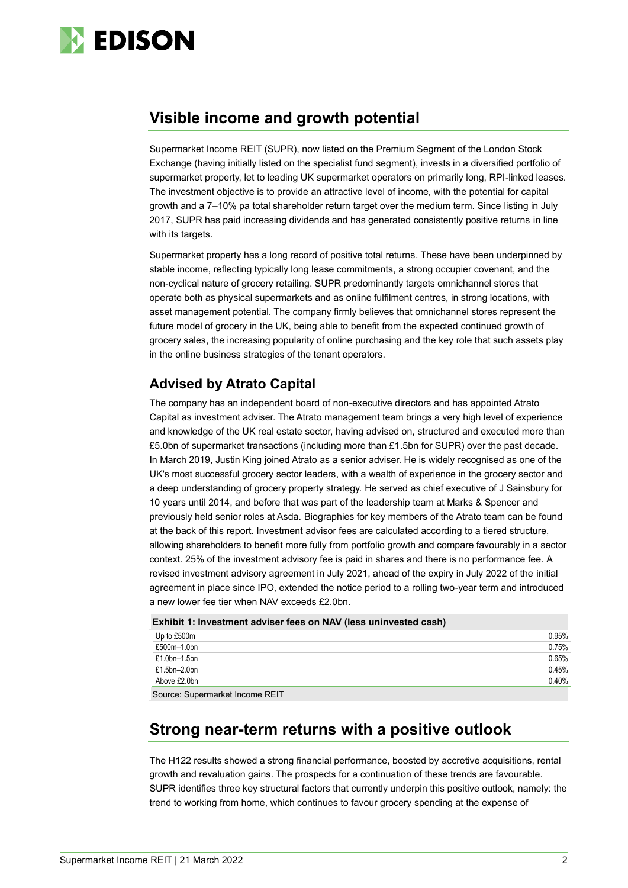

# **Visible income and growth potential**

Supermarket Income REIT (SUPR), now listed on the Premium Segment of the London Stock Exchange (having initially listed on the specialist fund segment), invests in a diversified portfolio of supermarket property, let to leading UK supermarket operators on primarily long, RPI-linked leases. The investment objective is to provide an attractive level of income, with the potential for capital growth and a 7–10% pa total shareholder return target over the medium term. Since listing in July 2017, SUPR has paid increasing dividends and has generated consistently positive returns in line with its targets.

Supermarket property has a long record of positive total returns. These have been underpinned by stable income, reflecting typically long lease commitments, a strong occupier covenant, and the non-cyclical nature of grocery retailing. SUPR predominantly targets omnichannel stores that operate both as physical supermarkets and as online fulfilment centres, in strong locations, with asset management potential. The company firmly believes that omnichannel stores represent the future model of grocery in the UK, being able to benefit from the expected continued growth of grocery sales, the increasing popularity of online purchasing and the key role that such assets play in the online business strategies of the tenant operators.

# **Advised by Atrato Capital**

The company has an independent board of non-executive directors and has appointed Atrato Capital as investment adviser. The Atrato management team brings a very high level of experience and knowledge of the UK real estate sector, having advised on, structured and executed more than £5.0bn of supermarket transactions (including more than £1.5bn for SUPR) over the past decade. In March 2019, Justin King joined Atrato as a senior adviser. He is widely recognised as one of the UK's most successful grocery sector leaders, with a wealth of experience in the grocery sector and a deep understanding of grocery property strategy. He served as chief executive of J Sainsbury for 10 years until 2014, and before that was part of the leadership team at Marks & Spencer and previously held senior roles at Asda. Biographies for key members of the Atrato team can be found at the back of this report. Investment advisor fees are calculated according to a tiered structure, allowing shareholders to benefit more fully from portfolio growth and compare favourably in a sector context. 25% of the investment advisory fee is paid in shares and there is no performance fee. A revised investment advisory agreement in July 2021, ahead of the expiry in July 2022 of the initial agreement in place since IPO, extended the notice period to a rolling two-year term and introduced a new lower fee tier when NAV exceeds £2.0bn.

#### **Exhibit 1: Investment adviser fees on NAV (less uninvested cash)**

| Up to £500m                    | 0.95% |
|--------------------------------|-------|
| £500m-1.0bn                    | 0.75% |
| £1.0bn–1.5bn                   | 0.65% |
| £1.5bn-2.0bn                   | 0.45% |
| Above £2.0bn                   | 0.40% |
| Course Cunsumarket Income DEIT |       |

Source: Supermarket Income REIT

# **Strong near-term returns with a positive outlook**

The H122 results showed a strong financial performance, boosted by accretive acquisitions, rental growth and revaluation gains. The prospects for a continuation of these trends are favourable. SUPR identifies three key structural factors that currently underpin this positive outlook, namely: the trend to working from home, which continues to favour grocery spending at the expense of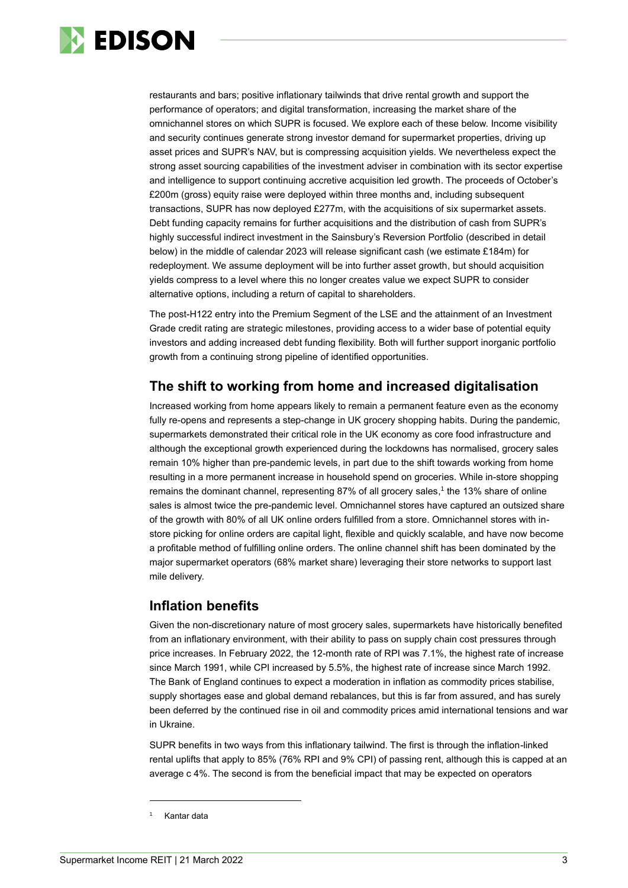

restaurants and bars; positive inflationary tailwinds that drive rental growth and support the performance of operators; and digital transformation, increasing the market share of the omnichannel stores on which SUPR is focused. We explore each of these below. Income visibility and security continues generate strong investor demand for supermarket properties, driving up asset prices and SUPR's NAV, but is compressing acquisition yields. We nevertheless expect the strong asset sourcing capabilities of the investment adviser in combination with its sector expertise and intelligence to support continuing accretive acquisition led growth. The proceeds of October's £200m (gross) equity raise were deployed within three months and, including subsequent transactions, SUPR has now deployed £277m, with the acquisitions of six supermarket assets. Debt funding capacity remains for further acquisitions and the distribution of cash from SUPR's highly successful indirect investment in the Sainsbury's Reversion Portfolio (described in detail below) in the middle of calendar 2023 will release significant cash (we estimate £184m) for redeployment. We assume deployment will be into further asset growth, but should acquisition yields compress to a level where this no longer creates value we expect SUPR to consider alternative options, including a return of capital to shareholders.

The post-H122 entry into the Premium Segment of the LSE and the attainment of an Investment Grade credit rating are strategic milestones, providing access to a wider base of potential equity investors and adding increased debt funding flexibility. Both will further support inorganic portfolio growth from a continuing strong pipeline of identified opportunities.

## **The shift to working from home and increased digitalisation**

Increased working from home appears likely to remain a permanent feature even as the economy fully re-opens and represents a step-change in UK grocery shopping habits. During the pandemic, supermarkets demonstrated their critical role in the UK economy as core food infrastructure and although the exceptional growth experienced during the lockdowns has normalised, grocery sales remain 10% higher than pre-pandemic levels, in part due to the shift towards working from home resulting in a more permanent increase in household spend on groceries. While in-store shopping remains the dominant channel, representing 87% of all grocery sales,<sup>1</sup> the 13% share of online sales is almost twice the pre-pandemic level. Omnichannel stores have captured an outsized share of the growth with 80% of all UK online orders fulfilled from a store. Omnichannel stores with instore picking for online orders are capital light, flexible and quickly scalable, and have now become a profitable method of fulfilling online orders. The online channel shift has been dominated by the major supermarket operators (68% market share) leveraging their store networks to support last mile delivery.

### **Inflation benefits**

Given the non-discretionary nature of most grocery sales, supermarkets have historically benefited from an inflationary environment, with their ability to pass on supply chain cost pressures through price increases. In February 2022, the 12-month rate of RPI was 7.1%, the highest rate of increase since March 1991, while CPI increased by 5.5%, the highest rate of increase since March 1992. The Bank of England continues to expect a moderation in inflation as commodity prices stabilise, supply shortages ease and global demand rebalances, but this is far from assured, and has surely been deferred by the continued rise in oil and commodity prices amid international tensions and war in Ukraine.

SUPR benefits in two ways from this inflationary tailwind. The first is through the inflation-linked rental uplifts that apply to 85% (76% RPI and 9% CPI) of passing rent, although this is capped at an average c 4%. The second is from the beneficial impact that may be expected on operators

Kantar data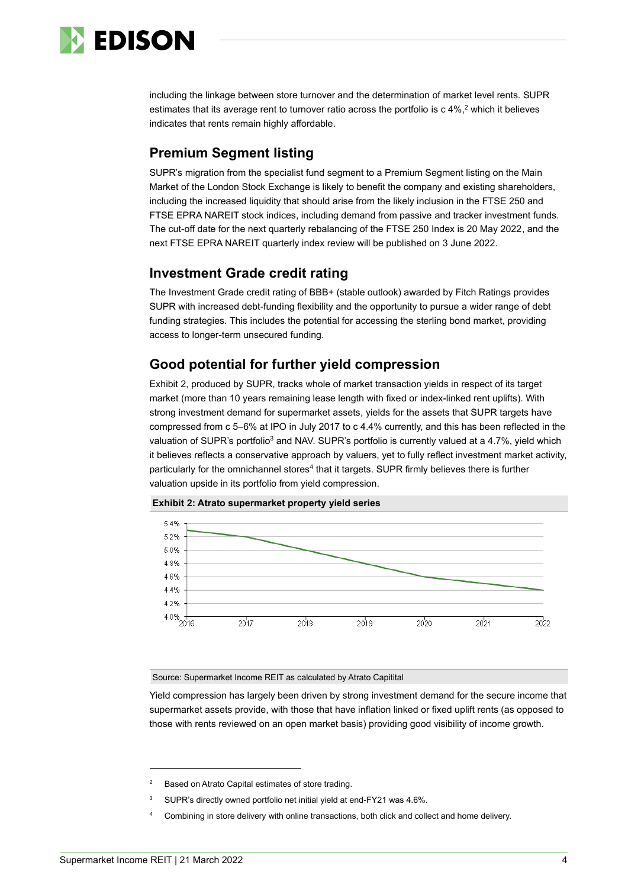

including the linkage between store turnover and the determination of market level rents. SUPR estimates that its average rent to turnover ratio across the portfolio is c 4%,<sup>2</sup> which it believes indicates that rents remain highly affordable.

# **Premium Segment listing**

SUPR's migration from the specialist fund segment to a Premium Segment listing on the Main Market of the London Stock Exchange is likely to benefit the company and existing shareholders, including the increased liquidity that should arise from the likely inclusion in the FTSE 250 and FTSE EPRA NAREIT stock indices, including demand from passive and tracker investment funds. The cut-off date for the next quarterly rebalancing of the FTSE 250 Index is 20 May 2022, and the next FTSE EPRA NAREIT quarterly index review will be published on 3 June 2022.

## **Investment Grade credit rating**

The Investment Grade credit rating of BBB+ (stable outlook) awarded by Fitch Ratings provides SUPR with increased debt-funding flexibility and the opportunity to pursue a wider range of debt funding strategies. This includes the potential for accessing the sterling bond market, providing access to longer-term unsecured funding.

## **Good potential for further yield compression**

Exhibit 2, produced by SUPR, tracks whole of market transaction yields in respect of its target market (more than 10 years remaining lease length with fixed or index-linked rent uplifts). With strong investment demand for supermarket assets, yields for the assets that SUPR targets have compressed from c 5–6% at IPO in July 2017 to c 4.4% currently, and this has been reflected in the valuation of SUPR's portfolio<sup>3</sup> and NAV. SUPR's portfolio is currently valued at a 4.7%, yield which it believes reflects a conservative approach by valuers, yet to fully reflect investment market activity, particularly for the omnichannel stores<sup>4</sup> that it targets. SUPR firmly believes there is further valuation upside in its portfolio from yield compression.





Source: Supermarket Income REIT as calculated by Atrato Capitital

Yield compression has largely been driven by strong investment demand for the secure income that supermarket assets provide, with those that have inflation linked or fixed uplift rents (as opposed to those with rents reviewed on an open market basis) providing good visibility of income growth.

Based on Atrato Capital estimates of store trading

<sup>&</sup>lt;sup>3</sup> SUPR's directly owned portfolio net initial yield at end-FY21 was 4.6%.

Combining in store delivery with online transactions, both click and collect and home delivery.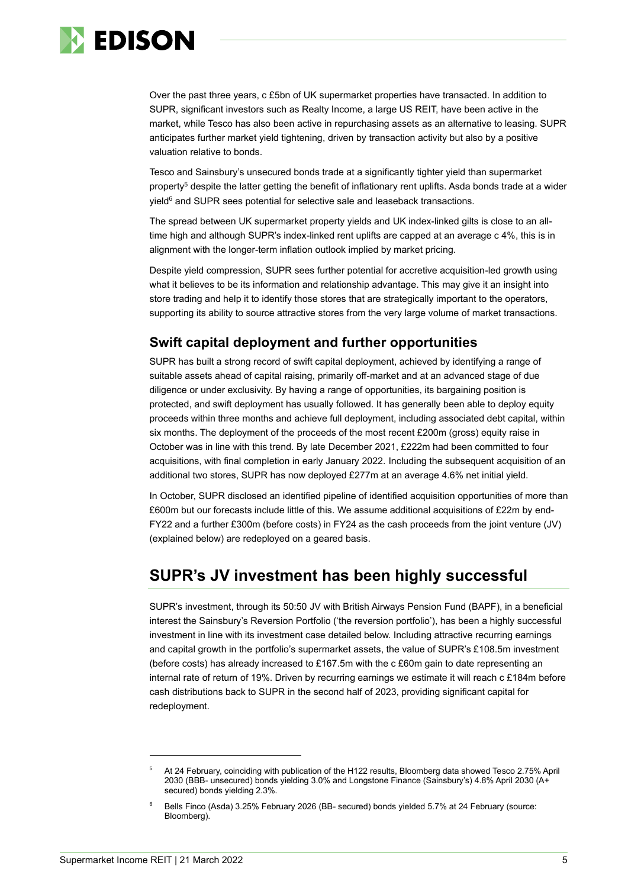

Over the past three years, c £5bn of UK supermarket properties have transacted. In addition to SUPR, significant investors such as Realty Income, a large US REIT, have been active in the market, while Tesco has also been active in repurchasing assets as an alternative to leasing. SUPR anticipates further market yield tightening, driven by transaction activity but also by a positive valuation relative to bonds.

Tesco and Sainsbury's unsecured bonds trade at a significantly tighter yield than supermarket property<sup>5</sup> despite the latter getting the benefit of inflationary rent uplifts. Asda bonds trade at a wider yield<sup>6</sup> and SUPR sees potential for selective sale and leaseback transactions.

The spread between UK supermarket property yields and UK index-linked gilts is close to an alltime high and although SUPR's index-linked rent uplifts are capped at an average c 4%, this is in alignment with the longer-term inflation outlook implied by market pricing.

Despite yield compression, SUPR sees further potential for accretive acquisition-led growth using what it believes to be its information and relationship advantage. This may give it an insight into store trading and help it to identify those stores that are strategically important to the operators, supporting its ability to source attractive stores from the very large volume of market transactions.

## **Swift capital deployment and further opportunities**

SUPR has built a strong record of swift capital deployment, achieved by identifying a range of suitable assets ahead of capital raising, primarily off-market and at an advanced stage of due diligence or under exclusivity. By having a range of opportunities, its bargaining position is protected, and swift deployment has usually followed. It has generally been able to deploy equity proceeds within three months and achieve full deployment, including associated debt capital, within six months. The deployment of the proceeds of the most recent £200m (gross) equity raise in October was in line with this trend. By late December 2021, £222m had been committed to four acquisitions, with final completion in early January 2022. Including the subsequent acquisition of an additional two stores, SUPR has now deployed £277m at an average 4.6% net initial yield.

In October, SUPR disclosed an identified pipeline of identified acquisition opportunities of more than £600m but our forecasts include little of this. We assume additional acquisitions of £22m by end-FY22 and a further £300m (before costs) in FY24 as the cash proceeds from the joint venture (JV) (explained below) are redeployed on a geared basis.

# **SUPR's JV investment has been highly successful**

SUPR's investment, through its 50:50 JV with British Airways Pension Fund (BAPF), in a beneficial interest the Sainsbury's Reversion Portfolio ('the reversion portfolio'), has been a highly successful investment in line with its investment case detailed below. Including attractive recurring earnings and capital growth in the portfolio's supermarket assets, the value of SUPR's £108.5m investment (before costs) has already increased to £167.5m with the c £60m gain to date representing an internal rate of return of 19%. Driven by recurring earnings we estimate it will reach c £184m before cash distributions back to SUPR in the second half of 2023, providing significant capital for redeployment.

<sup>5</sup> At 24 February, coinciding with publication of the H122 results, Bloomberg data showed Tesco 2.75% April 2030 (BBB- unsecured) bonds yielding 3.0% and Longstone Finance (Sainsbury's) 4.8% April 2030 (A+ secured) bonds yielding 2.3%.

<sup>6</sup> Bells Finco (Asda) 3.25% February 2026 (BB- secured) bonds yielded 5.7% at 24 February (source: Bloomberg).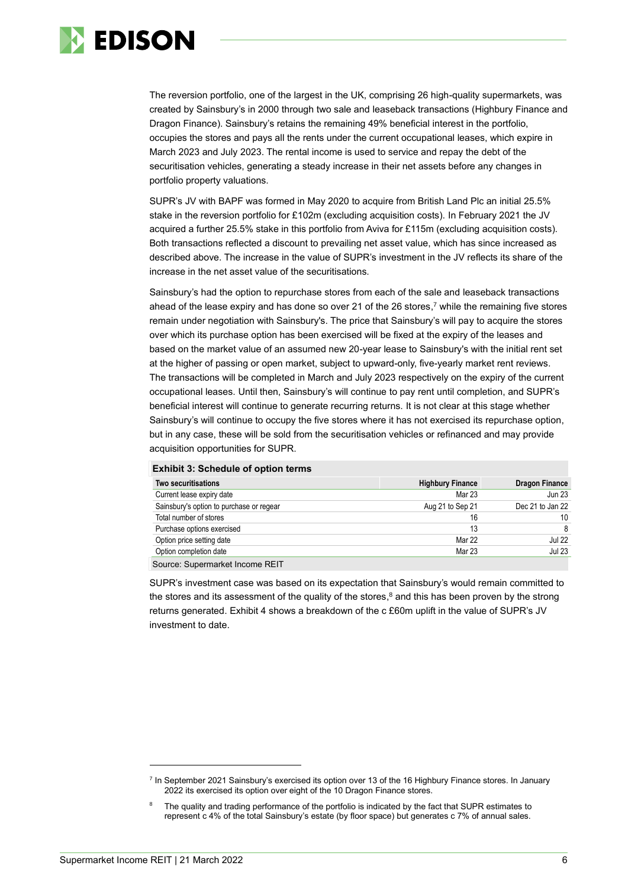

The reversion portfolio, one of the largest in the UK, comprising 26 high-quality supermarkets, was created by Sainsbury's in 2000 through two sale and leaseback transactions (Highbury Finance and Dragon Finance). Sainsbury's retains the remaining 49% beneficial interest in the portfolio, occupies the stores and pays all the rents under the current occupational leases, which expire in March 2023 and July 2023. The rental income is used to service and repay the debt of the securitisation vehicles, generating a steady increase in their net assets before any changes in portfolio property valuations.

SUPR's JV with BAPF was formed in May 2020 to acquire from British Land Plc an initial 25.5% stake in the reversion portfolio for £102m (excluding acquisition costs). In February 2021 the JV acquired a further 25.5% stake in this portfolio from Aviva for £115m (excluding acquisition costs). Both transactions reflected a discount to prevailing net asset value, which has since increased as described above. The increase in the value of SUPR's investment in the JV reflects its share of the increase in the net asset value of the securitisations.

Sainsbury's had the option to repurchase stores from each of the sale and leaseback transactions ahead of the lease expiry and has done so over 21 of the 26 stores, <sup>7</sup> while the remaining five stores remain under negotiation with Sainsbury's. The price that Sainsbury's will pay to acquire the stores over which its purchase option has been exercised will be fixed at the expiry of the leases and based on the market value of an assumed new 20-year lease to Sainsbury's with the initial rent set at the higher of passing or open market, subject to upward-only, five-yearly market rent reviews. The transactions will be completed in March and July 2023 respectively on the expiry of the current occupational leases. Until then, Sainsbury's will continue to pay rent until completion, and SUPR's beneficial interest will continue to generate recurring returns. It is not clear at this stage whether Sainsbury's will continue to occupy the five stores where it has not exercised its repurchase option, but in any case, these will be sold from the securitisation vehicles or refinanced and may provide acquisition opportunities for SUPR.

| <b>EXNIBIT 3: SCHEQUIE OF OPTION TETMS</b> |                         |                       |  |  |  |  |  |  |  |  |
|--------------------------------------------|-------------------------|-----------------------|--|--|--|--|--|--|--|--|
| Two securitisations                        | <b>Highbury Finance</b> | <b>Dragon Finance</b> |  |  |  |  |  |  |  |  |
| Current lease expiry date                  | Mar 23                  | <b>Jun 23</b>         |  |  |  |  |  |  |  |  |
| Sainsbury's option to purchase or regear   | Aug 21 to Sep 21        | Dec 21 to Jan 22      |  |  |  |  |  |  |  |  |
| Total number of stores                     | 16                      | 10                    |  |  |  |  |  |  |  |  |
| Purchase options exercised                 | 13                      | 8                     |  |  |  |  |  |  |  |  |
| Option price setting date                  | Mar 22                  | <b>Jul 22</b>         |  |  |  |  |  |  |  |  |
| Option completion date                     | Mar 23                  | <b>Jul 23</b>         |  |  |  |  |  |  |  |  |
| Course Currence and the Line and DEIT      |                         |                       |  |  |  |  |  |  |  |  |

#### **Exhibit 3: Schedule of option terms**

Source: Supermarket Income REIT

SUPR's investment case was based on its expectation that Sainsbury's would remain committed to the stores and its assessment of the quality of the stores, <sup>8</sup> and this has been proven by the strong returns generated. Exhibit 4 shows a breakdown of the c £60m uplift in the value of SUPR's JV investment to date.

<sup>&</sup>lt;sup>7</sup> In September 2021 Sainsbury's exercised its option over 13 of the 16 Highbury Finance stores. In January 2022 its exercised its option over eight of the 10 Dragon Finance stores.

The quality and trading performance of the portfolio is indicated by the fact that SUPR estimates to represent c 4% of the total Sainsbury's estate (by floor space) but generates c 7% of annual sales.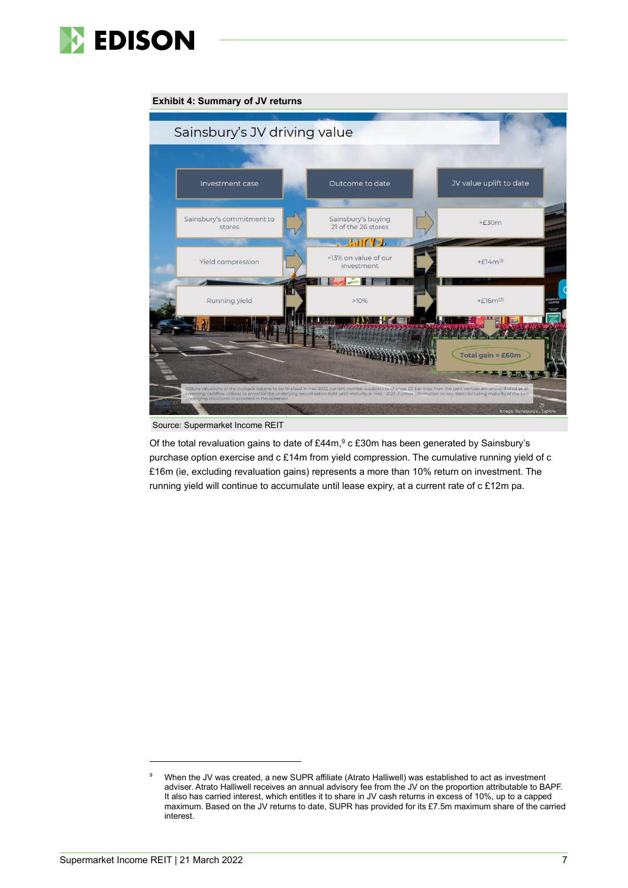

#### Sainsbury's JV driving value JV value uplift to date Investment case Outcome to date Sainsbury's commitment to Sainsbury's buying  $+£30m$ stores 21 of the 26 stores **PULLED** 13% on value of our  $+E14m(1)$ Yield compression investment - 1  $+$  $F16m^{2}$ Running yield  $>10%$ **THE THE EAST**  $=$  £60m otal gain  $E_{\rm 50-70}$

#### **Exhibit 4: Summary of JV returns**

Source: Supermarket Income REIT

Of the total revaluation gains to date of £44m,<sup>9</sup> c £30m has been generated by Sainsbury's purchase option exercise and c £14m from yield compression. The cumulative running yield of c £16m (ie, excluding revaluation gains) represents a more than 10% return on investment. The running yield will continue to accumulate until lease expiry, at a current rate of c £12m pa.

<sup>9</sup> When the JV was created, a new SUPR affiliate (Atrato Halliwell) was established to act as investment adviser. Atrato Halliwell receives an annual advisory fee from the JV on the proportion attributable to BAPF. It also has carried interest, which entitles it to share in JV cash returns in excess of 10%, up to a capped maximum. Based on the JV returns to date, SUPR has provided for its £7.5m maximum share of the carried interest.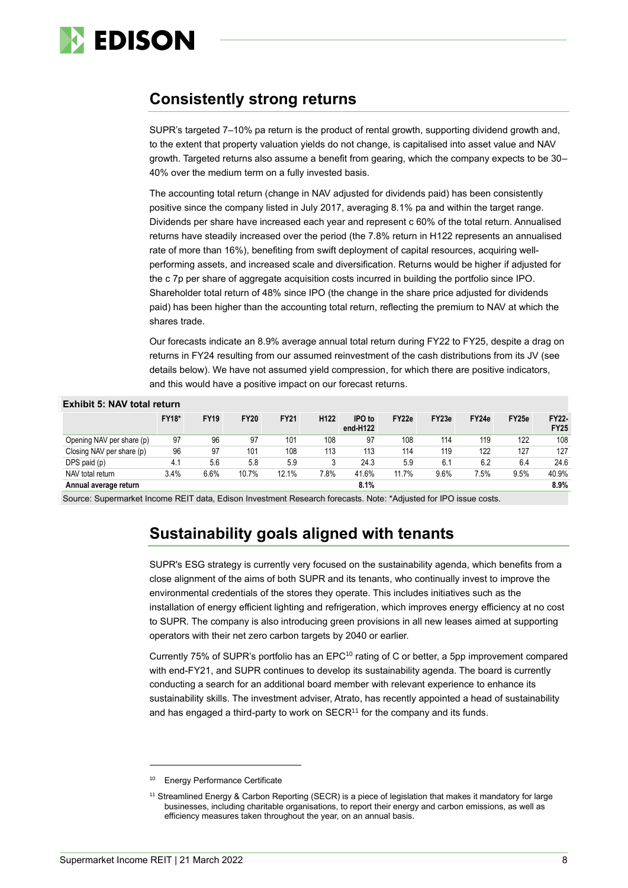

# **Consistently strong returns**

SUPR's targeted 7–10% pa return is the product of rental growth, supporting dividend growth and, to the extent that property valuation yields do not change, is capitalised into asset value and NAV growth. Targeted returns also assume a benefit from gearing, which the company expects to be 30– 40% over the medium term on a fully invested basis.

The accounting total return (change in NAV adjusted for dividends paid) has been consistently positive since the company listed in July 2017, averaging 8.1% pa and within the target range. Dividends per share have increased each year and represent c 60% of the total return. Annualised returns have steadily increased over the period (the 7.8% return in H122 represents an annualised rate of more than 16%), benefiting from swift deployment of capital resources, acquiring wellperforming assets, and increased scale and diversification. Returns would be higher if adjusted for the c 7p per share of aggregate acquisition costs incurred in building the portfolio since IPO. Shareholder total return of 48% since IPO (the change in the share price adjusted for dividends paid) has been higher than the accounting total return, reflecting the premium to NAV at which the shares trade.

Our forecasts indicate an 8.9% average annual total return during FY22 to FY25, despite a drag on returns in FY24 resulting from our assumed reinvestment of the cash distributions from its JV (see details below). We have not assumed yield compression, for which there are positive indicators, and this would have a positive impact on our forecast returns.

| <b>Exhibit 5: NAV total return</b> |              |             |             |             |                  |                    |       |                   |       |       |                      |  |  |
|------------------------------------|--------------|-------------|-------------|-------------|------------------|--------------------|-------|-------------------|-------|-------|----------------------|--|--|
|                                    | <b>FY18*</b> | <b>FY19</b> | <b>FY20</b> | <b>FY21</b> | H <sub>122</sub> | IPO to<br>end-H122 | FY22e | FY <sub>23e</sub> | FY24e | FY25e | FY22-<br><b>FY25</b> |  |  |
| Opening NAV per share (p)          | 97           | 96          | 97          | 101         | 108              | 97                 | 108   | 114               | 119   | 122   | 108                  |  |  |
| Closing NAV per share (p)          | 96           | 97          | 101         | 108         | 113              | 113                | 114   | 119               | 122   | 127   | 127                  |  |  |
| DPS paid (p)                       | 4.1          | 5.6         | 5.8         | 5.9         |                  | 24.3               | 5.9   | 6.1               | 6.2   | 6.4   | 24.6                 |  |  |
| NAV total return                   | 3.4%         | 6.6%        | 10.7%       | 12.1%       | 7.8%             | 41.6%              | 11.7% | 9.6%              | 7.5%  | 9.5%  | 40.9%                |  |  |
| Annual average return              |              |             |             |             |                  | 8.1%               |       |                   |       |       | 8.9%                 |  |  |

Source: Supermarket Income REIT data, Edison Investment Research forecasts. Note: \*Adjusted for IPO issue costs.

# **Sustainability goals aligned with tenants**

SUPR's ESG strategy is currently very focused on the sustainability agenda, which benefits from a close alignment of the aims of both SUPR and its tenants, who continually invest to improve the environmental credentials of the stores they operate. This includes initiatives such as the installation of energy efficient lighting and refrigeration, which improves energy efficiency at no cost to SUPR. The company is also introducing green provisions in all new leases aimed at supporting operators with their net zero carbon targets by 2040 or earlier.

Currently 75% of SUPR's portfolio has an EPC<sup>10</sup> rating of C or better, a 5pp improvement compared with end-FY21, and SUPR continues to develop its sustainability agenda. The board is currently conducting a search for an additional board member with relevant experience to enhance its sustainability skills. The investment adviser, Atrato, has recently appointed a head of sustainability and has engaged a third-party to work on  $SECR<sup>11</sup>$  for the company and its funds.

<sup>&</sup>lt;sup>10</sup> Energy Performance Certificate

<sup>11</sup> Streamlined Energy & Carbon Reporting (SECR) is a piece of legislation that makes it mandatory for large businesses, including charitable organisations, to report their energy and carbon emissions, as well as efficiency measures taken throughout the year, on an annual basis.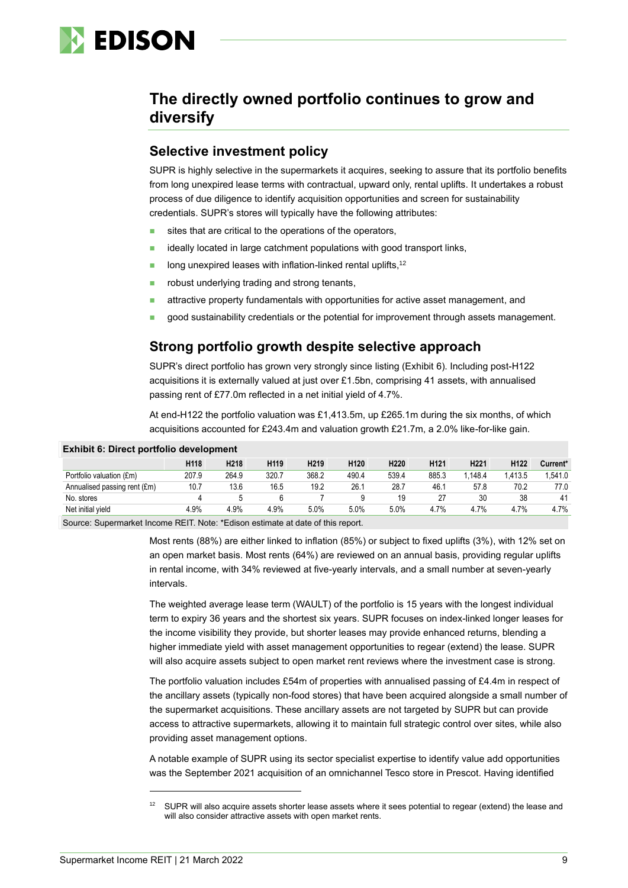

# **The directly owned portfolio continues to grow and diversify**

#### **Selective investment policy**

SUPR is highly selective in the supermarkets it acquires, seeking to assure that its portfolio benefits from long unexpired lease terms with contractual, upward only, rental uplifts. It undertakes a robust process of due diligence to identify acquisition opportunities and screen for sustainability credentials. SUPR's stores will typically have the following attributes:

- sites that are critical to the operations of the operators,
- ideally located in large catchment populations with good transport links,
- $\blacksquare$  long unexpired leases with inflation-linked rental uplifts,  $12$
- robust underlying trading and strong tenants,
- attractive property fundamentals with opportunities for active asset management, and
- good sustainability credentials or the potential for improvement through assets management.

#### **Strong portfolio growth despite selective approach**

SUPR's direct portfolio has grown very strongly since listing (Exhibit 6). Including post-H122 acquisitions it is externally valued at just over £1.5bn, comprising 41 assets, with annualised passing rent of £77.0m reflected in a net initial yield of 4.7%.

At end-H122 the portfolio valuation was £1,413.5m, up £265.1m during the six months, of which acquisitions accounted for £243.4m and valuation growth £21.7m, a 2.0% like-for-like gain.

| <b>EXIMPLE</b> 6. DIRECT DOLLIQUO GEVELOPMENT |                  |                  |                  |                  |                  |                  |                  |                  |                  |          |  |  |
|-----------------------------------------------|------------------|------------------|------------------|------------------|------------------|------------------|------------------|------------------|------------------|----------|--|--|
|                                               | H <sub>118</sub> | H <sub>218</sub> | H <sub>119</sub> | H <sub>219</sub> | H <sub>120</sub> | H <sub>220</sub> | H <sub>121</sub> | H <sub>221</sub> | H <sub>122</sub> | Current* |  |  |
| Portfolio valuation (£m)                      | 207.9            | 264.9            | 320.7            | 368.2            | 490.4            | 539.4            | 885.3            | .148.4           | .413.5           | .541.0   |  |  |
| Annualised passing rent (£m)                  | 10.7             | 13.6             | 16.5             | 19.2             | 26.1             | 28.7             | 46.1             | 57.8             | 70.2             | 77.0     |  |  |
| No. stores                                    |                  |                  |                  |                  |                  | 19               | 27               | 30               | 38               | 41       |  |  |
| Net initial yield                             | 4.9%             | 4.9%             | 4.9%             | 5.0%             | 5.0%             | 5.0%             | 4.7%             | 4.7%             | 4.7%             | 4.7%     |  |  |
| $\sim$                                        |                  |                  |                  |                  |                  |                  |                  |                  |                  |          |  |  |

#### **Exhibit 6: Direct portfolio development**

Source: Supermarket Income REIT. Note: \*Edison estimate at date of this report.

Most rents (88%) are either linked to inflation (85%) or subject to fixed uplifts (3%), with 12% set on an open market basis. Most rents (64%) are reviewed on an annual basis, providing regular uplifts in rental income, with 34% reviewed at five-yearly intervals, and a small number at seven-yearly intervals.

The weighted average lease term (WAULT) of the portfolio is 15 years with the longest individual term to expiry 36 years and the shortest six years. SUPR focuses on index-linked longer leases for the income visibility they provide, but shorter leases may provide enhanced returns, blending a higher immediate yield with asset management opportunities to regear (extend) the lease. SUPR will also acquire assets subject to open market rent reviews where the investment case is strong.

The portfolio valuation includes £54m of properties with annualised passing of £4.4m in respect of the ancillary assets (typically non-food stores) that have been acquired alongside a small number of the supermarket acquisitions. These ancillary assets are not targeted by SUPR but can provide access to attractive supermarkets, allowing it to maintain full strategic control over sites, while also providing asset management options.

A notable example of SUPR using its sector specialist expertise to identify value add opportunities was the September 2021 acquisition of an omnichannel Tesco store in Prescot. Having identified

SUPR will also acquire assets shorter lease assets where it sees potential to regear (extend) the lease and will also consider attractive assets with open market rents.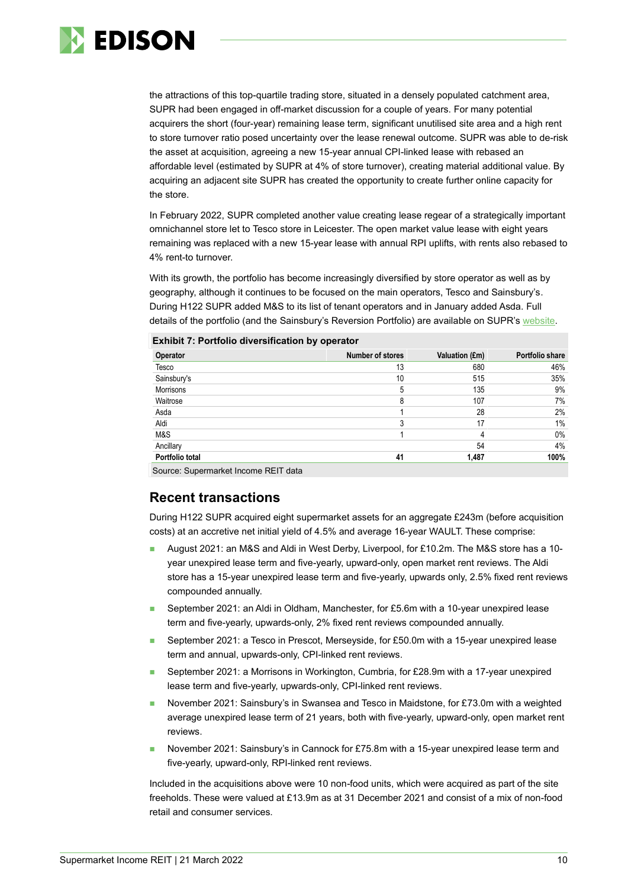

the attractions of this top-quartile trading store, situated in a densely populated catchment area, SUPR had been engaged in off-market discussion for a couple of years. For many potential acquirers the short (four-year) remaining lease term, significant unutilised site area and a high rent to store turnover ratio posed uncertainty over the lease renewal outcome. SUPR was able to de-risk the asset at acquisition, agreeing a new 15-year annual CPI-linked lease with rebased an affordable level (estimated by SUPR at 4% of store turnover), creating material additional value. By acquiring an adjacent site SUPR has created the opportunity to create further online capacity for the store.

In February 2022, SUPR completed another value creating lease regear of a strategically important omnichannel store let to Tesco store in Leicester. The open market value lease with eight years remaining was replaced with a new 15-year lease with annual RPI uplifts, with rents also rebased to 4% rent-to turnover.

With its growth, the portfolio has become increasingly diversified by store operator as well as by geography, although it continues to be focused on the main operators, Tesco and Sainsbury's. During H122 SUPR added M&S to its list of tenant operators and in January added Asda. Full details of the portfolio (and the Sainsbury's Reversion Portfolio) are available on SUPR'[s website.](https://www.supermarketincomereit.com/supr-portfolio)

|  | <b>Exhibit 7: Portfolio diversification by operator</b> |  |
|--|---------------------------------------------------------|--|
|  |                                                         |  |

| Operator        | Number of stores | Valuation (£m) | Portfolio share |
|-----------------|------------------|----------------|-----------------|
| Tesco           | 13               | 680            | 46%             |
| Sainsbury's     | 10               | 515            | 35%             |
| Morrisons       | 5                | 135            | 9%              |
| Waitrose        | 8                | 107            | 7%              |
| Asda            |                  | 28             | 2%              |
| Aldi            |                  | 17             | $1\%$           |
| M&S             |                  |                | $0\%$           |
| Ancillary       |                  | 54             | 4%              |
| Portfolio total | 41               | 1,487          | 100%            |

Source: Supermarket Income REIT data

## **Recent transactions**

During H122 SUPR acquired eight supermarket assets for an aggregate £243m (before acquisition costs) at an accretive net initial yield of 4.5% and average 16-year WAULT. These comprise:

- ◼ August 2021: an M&S and Aldi in West Derby, Liverpool, for £10.2m. The M&S store has a 10 year unexpired lease term and five-yearly, upward-only, open market rent reviews. The Aldi store has a 15-year unexpired lease term and five-yearly, upwards only, 2.5% fixed rent reviews compounded annually.
- September 2021: an Aldi in Oldham, Manchester, for £5.6m with a 10-year unexpired lease term and five-yearly, upwards-only, 2% fixed rent reviews compounded annually.
- September 2021: a Tesco in Prescot, Merseyside, for £50.0m with a 15-year unexpired lease term and annual, upwards-only, CPI-linked rent reviews.
- September 2021: a Morrisons in Workington, Cumbria, for £28.9m with a 17-year unexpired lease term and five-yearly, upwards-only, CPI-linked rent reviews.
- November 2021: Sainsbury's in Swansea and Tesco in Maidstone, for £73.0m with a weighted average unexpired lease term of 21 years, both with five-yearly, upward-only, open market rent reviews.
- November 2021: Sainsbury's in Cannock for £75.8m with a 15-year unexpired lease term and five-yearly, upward-only, RPI-linked rent reviews.

Included in the acquisitions above were 10 non-food units, which were acquired as part of the site freeholds. These were valued at £13.9m as at 31 December 2021 and consist of a mix of non-food retail and consumer services.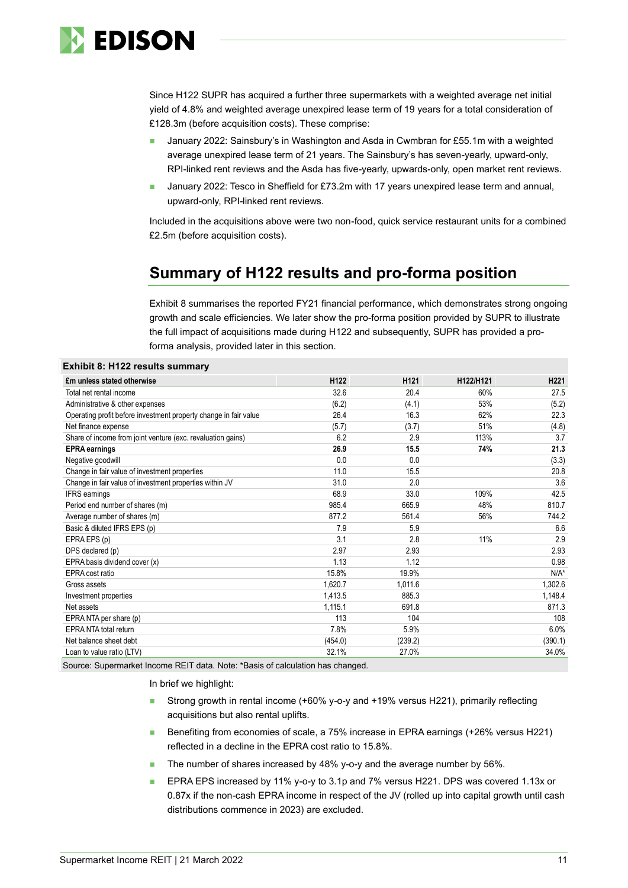

Since H122 SUPR has acquired a further three supermarkets with a weighted average net initial yield of 4.8% and weighted average unexpired lease term of 19 years for a total consideration of £128.3m (before acquisition costs). These comprise:

- January 2022: Sainsbury's in Washington and Asda in Cwmbran for £55.1m with a weighted average unexpired lease term of 21 years. The Sainsbury's has seven-yearly, upward-only, RPI-linked rent reviews and the Asda has five-yearly, upwards-only, open market rent reviews.
- January 2022: Tesco in Sheffield for £73.2m with 17 years unexpired lease term and annual, upward-only, RPI-linked rent reviews.

Included in the acquisitions above were two non-food, quick service restaurant units for a combined £2.5m (before acquisition costs).

# **Summary of H122 results and pro-forma position**

Exhibit 8 summarises the reported FY21 financial performance, which demonstrates strong ongoing growth and scale efficiencies. We later show the pro-forma position provided by SUPR to illustrate the full impact of acquisitions made during H122 and subsequently, SUPR has provided a proforma analysis, provided later in this section.

| <b>Exhibit 8: H122 results summary</b>                           |                  |                  |           |         |
|------------------------------------------------------------------|------------------|------------------|-----------|---------|
| £m unless stated otherwise                                       | H <sub>122</sub> | H <sub>121</sub> | H122/H121 | H221    |
| Total net rental income                                          | 32.6             | 20.4             | 60%       | 27.5    |
| Administrative & other expenses                                  | (6.2)            | (4.1)            | 53%       | (5.2)   |
| Operating profit before investment property change in fair value | 26.4             | 16.3             | 62%       | 22.3    |
| Net finance expense                                              | (5.7)            | (3.7)            | 51%       | (4.8)   |
| Share of income from joint venture (exc. revaluation gains)      | 6.2              | 2.9              | 113%      | 3.7     |
| <b>EPRA</b> earnings                                             | 26.9             | 15.5             | 74%       | 21.3    |
| Negative goodwill                                                | 0.0              | 0.0              |           | (3.3)   |
| Change in fair value of investment properties                    | 11.0             | 15.5             |           | 20.8    |
| Change in fair value of investment properties within JV          | 31.0             | 2.0              |           | 3.6     |
| <b>IFRS</b> earnings                                             | 68.9             | 33.0             | 109%      | 42.5    |
| Period end number of shares (m)                                  | 985.4            | 665.9            | 48%       | 810.7   |
| Average number of shares (m)                                     | 877.2            | 561.4            | 56%       | 744.2   |
| Basic & diluted IFRS EPS (p)                                     | 7.9              | 5.9              |           | 6.6     |
| EPRA EPS (p)                                                     | 3.1              | 2.8              | 11%       | 2.9     |
| DPS declared (p)                                                 | 2.97             | 2.93             |           | 2.93    |
| EPRA basis dividend cover (x)                                    | 1.13             | 1.12             |           | 0.98    |
| EPRA cost ratio                                                  | 15.8%            | 19.9%            |           | $N/A^*$ |
| Gross assets                                                     | 1,620.7          | 1,011.6          |           | 1,302.6 |
| Investment properties                                            | 1,413.5          | 885.3            |           | 1,148.4 |
| Net assets                                                       | 1,115.1          | 691.8            |           | 871.3   |
| EPRA NTA per share (p)                                           | 113              | 104              |           | 108     |
| <b>EPRA NTA total return</b>                                     | 7.8%             | 5.9%             |           | 6.0%    |
| Net balance sheet debt                                           | (454.0)          | (239.2)          |           | (390.1) |
| Loan to value ratio (LTV)                                        | 32.1%            | 27.0%            |           | 34.0%   |

Source: Supermarket Income REIT data. Note: \*Basis of calculation has changed.

In brief we highlight:

- Strong growth in rental income (+60% y-o-y and +19% versus H221), primarily reflecting acquisitions but also rental uplifts.
- Benefiting from economies of scale, a 75% increase in EPRA earnings (+26% versus H221) reflected in a decline in the EPRA cost ratio to 15.8%.
- The number of shares increased by 48% y-o-y and the average number by 56%.
- EPRA EPS increased by 11% y-o-y to 3.1p and 7% versus H221. DPS was covered 1.13x or 0.87x if the non-cash EPRA income in respect of the JV (rolled up into capital growth until cash distributions commence in 2023) are excluded.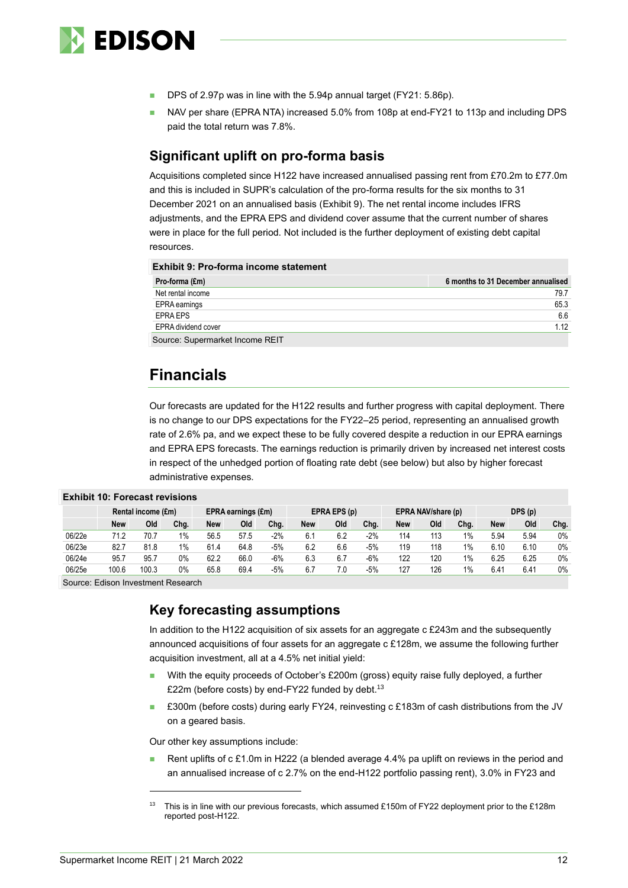

- DPS of 2.97p was in line with the 5.94p annual target (FY21: 5.86p).
- NAV per share (EPRA NTA) increased 5.0% from 108p at end-FY21 to 113p and including DPS paid the total return was 7.8%.

### **Significant uplift on pro-forma basis**

Acquisitions completed since H122 have increased annualised passing rent from £70.2m to £77.0m and this is included in SUPR's calculation of the pro-forma results for the six months to 31 December 2021 on an annualised basis (Exhibit 9). The net rental income includes IFRS adjustments, and the EPRA EPS and dividend cover assume that the current number of shares were in place for the full period. Not included is the further deployment of existing debt capital resources.

#### **Exhibit 9: Pro-forma income statement**

| Pro-forma (£m)                  | 6 months to 31 December annualised |
|---------------------------------|------------------------------------|
| Net rental income               | 79.7                               |
| EPRA earnings                   | 65.3                               |
| EPRA EPS                        | 6.6                                |
| <b>EPRA dividend cover</b>      | 1 1 2                              |
| Source: Supermarket Income REIT |                                    |

# **Financials**

Our forecasts are updated for the H122 results and further progress with capital deployment. There is no change to our DPS expectations for the FY22–25 period, representing an annualised growth rate of 2.6% pa, and we expect these to be fully covered despite a reduction in our EPRA earnings and EPRA EPS forecasts. The earnings reduction is primarily driven by increased net interest costs in respect of the unhedged portion of floating rate debt (see below) but also by higher forecast administrative expenses.

|        | Rental income (£m) |       | EPRA earnings (£m) |      | EPRA EPS (p) |       | EPRA NAV/share (p) |     |        | DPS(p) |     |      |      |      |       |
|--------|--------------------|-------|--------------------|------|--------------|-------|--------------------|-----|--------|--------|-----|------|------|------|-------|
|        | <b>New</b>         | Old   | Chg.               | New  | Old          | Chg.  | New                | Old | Chg.   | New    | Old | Chg. | New  | Old  | Chg.  |
| 06/22e | 71.2               | 70.7  | $1\%$              | 56.5 | 57.5         | $-2%$ | 6.                 | 6.2 | $-2\%$ | 114    | 113 | 1%   | 5.94 | 5.94 | $0\%$ |
| 06/23e | 82.7               | 81.8  | $1\%$              | 61.4 | 64.8         | $-5%$ | 6.2                | 6.6 | $-5%$  | 119    | 118 | 1%   | 6.10 | 6.10 | $0\%$ |
| 06/24e | 95.7               | 95.7  | 0%                 | 62.2 | 66.0         | $-6%$ | 6.3                | 6.7 | $-6%$  | 122    | 120 | 1%   | 6.25 | 6.25 | $0\%$ |
| 06/25e | 100.6              | 100.3 | $0\%$              | 65.8 | 69.4         | $-5%$ | 6.7                | 7.0 | $-5%$  | 127    | 126 | 1%   | 6.41 | 6.41 | $0\%$ |

**Exhibit 10: Forecast revisions**

Source: Edison Investment Research

### **Key forecasting assumptions**

In addition to the H122 acquisition of six assets for an aggregate c £243m and the subsequently announced acquisitions of four assets for an aggregate c £128m, we assume the following further acquisition investment, all at a 4.5% net initial yield:

- With the equity proceeds of October's £200m (gross) equity raise fully deployed, a further £22m (before costs) by end-FY22 funded by debt. $^{13}$
- £300m (before costs) during early FY24, reinvesting c £183m of cash distributions from the JV on a geared basis.

Our other key assumptions include:

Rent uplifts of  $c \, \text{£1.0m}$  in H222 (a blended average 4.4% pa uplift on reviews in the period and an annualised increase of c 2.7% on the end-H122 portfolio passing rent), 3.0% in FY23 and

This is in line with our previous forecasts, which assumed £150m of FY22 deployment prior to the £128m reported post-H122.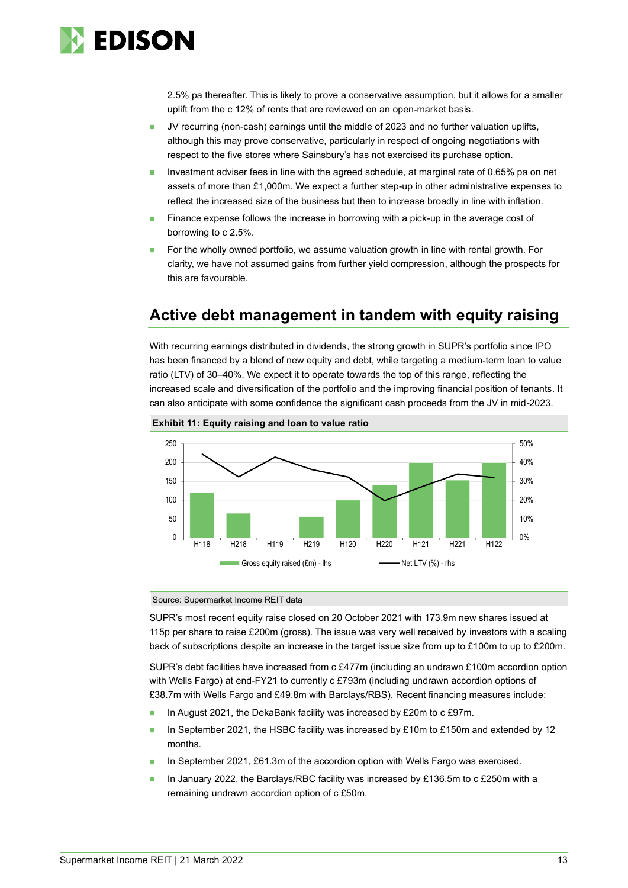

2.5% pa thereafter. This is likely to prove a conservative assumption, but it allows for a smaller uplift from the c 12% of rents that are reviewed on an open-market basis.

- JV recurring (non-cash) earnings until the middle of 2023 and no further valuation uplifts, although this may prove conservative, particularly in respect of ongoing negotiations with respect to the five stores where Sainsbury's has not exercised its purchase option.
- Investment adviser fees in line with the agreed schedule, at marginal rate of 0.65% pa on net assets of more than £1,000m. We expect a further step-up in other administrative expenses to reflect the increased size of the business but then to increase broadly in line with inflation.
- Finance expense follows the increase in borrowing with a pick-up in the average cost of borrowing to c 2.5%.
- ◼ For the wholly owned portfolio, we assume valuation growth in line with rental growth. For clarity, we have not assumed gains from further yield compression, although the prospects for this are favourable.

# **Active debt management in tandem with equity raising**

With recurring earnings distributed in dividends, the strong growth in SUPR's portfolio since IPO has been financed by a blend of new equity and debt, while targeting a medium-term loan to value ratio (LTV) of 30–40%. We expect it to operate towards the top of this range, reflecting the increased scale and diversification of the portfolio and the improving financial position of tenants. It can also anticipate with some confidence the significant cash proceeds from the JV in mid-2023.





Source: Supermarket Income REIT data

SUPR's most recent equity raise closed on 20 October 2021 with 173.9m new shares issued at 115p per share to raise £200m (gross). The issue was very well received by investors with a scaling back of subscriptions despite an increase in the target issue size from up to £100m to up to £200m.

SUPR's debt facilities have increased from c £477m (including an undrawn £100m accordion option with Wells Fargo) at end-FY21 to currently c £793m (including undrawn accordion options of £38.7m with Wells Fargo and £49.8m with Barclays/RBS). Recent financing measures include:

- In August 2021, the DekaBank facility was increased by £20m to c £97m.
- **■** In September 2021, the HSBC facility was increased by £10m to £150m and extended by 12 months.
- In September 2021, £61.3m of the accordion option with Wells Fargo was exercised.
- In January 2022, the Barclays/RBC facility was increased by £136.5m to c £250m with a remaining undrawn accordion option of c £50m.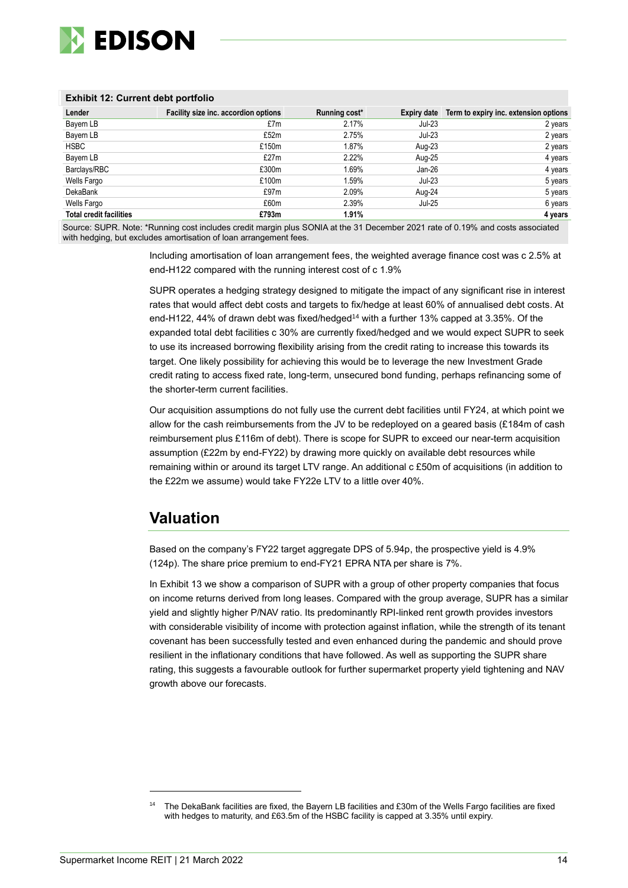

#### **Exhibit 12: Current debt portfolio**

| Lender                         | Facility size inc. accordion options | Running cost* | Expiry date | Term to expiry inc. extension options |
|--------------------------------|--------------------------------------|---------------|-------------|---------------------------------------|
| Bayern LB                      | £7m                                  | 2.17%         | Jul-23      | 2 years                               |
| Bayern LB                      | £52m                                 | 2.75%         | $Jul-23$    | 2 years                               |
| <b>HSBC</b>                    | £150m                                | 1.87%         | Aug-23      | 2 years                               |
| Bayern LB                      | £27m                                 | 2.22%         | Aug-25      | 4 years                               |
| Barclays/RBC                   | £300m                                | 1.69%         | Jan-26      | 4 years                               |
| Wells Fargo                    | £100m                                | 1.59%         | Jul-23      | 5 years                               |
| <b>DekaBank</b>                | £97m                                 | 2.09%         | Aug-24      | 5 years                               |
| Wells Fargo                    | £60m                                 | 2.39%         | Jul-25      | 6 years                               |
| <b>Total credit facilities</b> | £793m                                | 1.91%         |             | 4 years                               |

Source: SUPR. Note: \*Running cost includes credit margin plus SONIA at the 31 December 2021 rate of 0.19% and costs associated with hedging, but excludes amortisation of loan arrangement fees.

> Including amortisation of loan arrangement fees, the weighted average finance cost was c 2.5% at end-H122 compared with the running interest cost of c 1.9%

SUPR operates a hedging strategy designed to mitigate the impact of any significant rise in interest rates that would affect debt costs and targets to fix/hedge at least 60% of annualised debt costs. At end-H122, 44% of drawn debt was fixed/hedged<sup>14</sup> with a further 13% capped at 3.35%. Of the expanded total debt facilities c 30% are currently fixed/hedged and we would expect SUPR to seek to use its increased borrowing flexibility arising from the credit rating to increase this towards its target. One likely possibility for achieving this would be to leverage the new Investment Grade credit rating to access fixed rate, long-term, unsecured bond funding, perhaps refinancing some of the shorter-term current facilities.

Our acquisition assumptions do not fully use the current debt facilities until FY24, at which point we allow for the cash reimbursements from the JV to be redeployed on a geared basis (£184m of cash reimbursement plus £116m of debt). There is scope for SUPR to exceed our near-term acquisition assumption (£22m by end-FY22) by drawing more quickly on available debt resources while remaining within or around its target LTV range. An additional c £50m of acquisitions (in addition to the £22m we assume) would take FY22e LTV to a little over 40%.

# **Valuation**

Based on the company's FY22 target aggregate DPS of 5.94p, the prospective yield is 4.9% (124p). The share price premium to end-FY21 EPRA NTA per share is 7%.

In Exhibit 13 we show a comparison of SUPR with a group of other property companies that focus on income returns derived from long leases. Compared with the group average, SUPR has a similar yield and slightly higher P/NAV ratio. Its predominantly RPI-linked rent growth provides investors with considerable visibility of income with protection against inflation, while the strength of its tenant covenant has been successfully tested and even enhanced during the pandemic and should prove resilient in the inflationary conditions that have followed. As well as supporting the SUPR share rating, this suggests a favourable outlook for further supermarket property yield tightening and NAV growth above our forecasts.

The DekaBank facilities are fixed, the Bayern LB facilities and £30m of the Wells Fargo facilities are fixed with hedges to maturity, and £63.5m of the HSBC facility is capped at 3.35% until expiry.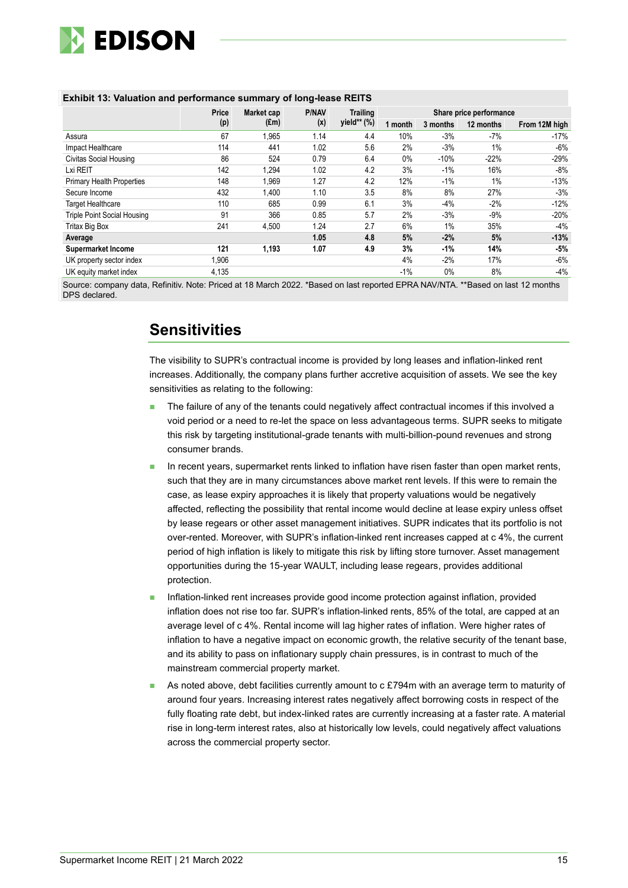

|                                    | Price | Market cap    | <b>P/NAV</b> | <b>Trailing</b> | Share price performance |          |           |               |  |
|------------------------------------|-------|---------------|--------------|-----------------|-------------------------|----------|-----------|---------------|--|
|                                    | (p)   | $(\text{Em})$ | (x)          | yield** (%)     | 1 month                 | 3 months | 12 months | From 12M high |  |
| Assura                             | 67    | 1,965         | 1.14         | 4.4             | 10%                     | $-3%$    | -7%       | -17%          |  |
| Impact Healthcare                  | 114   | 441           | 1.02         | 5.6             | 2%                      | $-3%$    | 1%        | -6%           |  |
| <b>Civitas Social Housing</b>      | 86    | 524           | 0.79         | 6.4             | $0\%$                   | $-10%$   | $-22%$    | $-29%$        |  |
| Lxi REIT                           | 142   | 1,294         | 1.02         | 4.2             | 3%                      | $-1\%$   | 16%       | -8%           |  |
| <b>Primary Health Properties</b>   | 148   | 1.969         | 1.27         | 4.2             | 12%                     | $-1\%$   | $1\%$     | $-13%$        |  |
| Secure Income                      | 432   | 1,400         | 1.10         | 3.5             | 8%                      | 8%       | 27%       | $-3%$         |  |
| <b>Target Healthcare</b>           | 110   | 685           | 0.99         | 6.1             | 3%                      | $-4%$    | $-2%$     | $-12%$        |  |
| <b>Triple Point Social Housing</b> | 91    | 366           | 0.85         | 5.7             | 2%                      | $-3%$    | $-9%$     | $-20%$        |  |
| Tritax Big Box                     | 241   | 4,500         | 1.24         | 2.7             | 6%                      | 1%       | 35%       | -4%           |  |
| Average                            |       |               | 1.05         | 4.8             | 5%                      | $-2%$    | 5%        | $-13%$        |  |
| <b>Supermarket Income</b>          | 121   | 1,193         | 1.07         | 4.9             | 3%                      | $-1%$    | 14%       | $-5%$         |  |
| UK property sector index           | 1,906 |               |              |                 | 4%                      | $-2%$    | 17%       | -6%           |  |
| UK equity market index             | 4,135 |               |              |                 | $-1%$                   | 0%       | 8%        | $-4%$         |  |

#### **Exhibit 13: Valuation and performance summary of long-lease REITS**

Source: company data, Refinitiv. Note: Priced at 18 March 2022. \*Based on last reported EPRA NAV/NTA. \*\*Based on last 12 months DPS declared.

# **Sensitivities**

The visibility to SUPR's contractual income is provided by long leases and inflation-linked rent increases. Additionally, the company plans further accretive acquisition of assets. We see the key sensitivities as relating to the following:

- The failure of any of the tenants could negatively affect contractual incomes if this involved a void period or a need to re-let the space on less advantageous terms. SUPR seeks to mitigate this risk by targeting institutional-grade tenants with multi-billion-pound revenues and strong consumer brands.
- In recent years, supermarket rents linked to inflation have risen faster than open market rents, such that they are in many circumstances above market rent levels. If this were to remain the case, as lease expiry approaches it is likely that property valuations would be negatively affected, reflecting the possibility that rental income would decline at lease expiry unless offset by lease regears or other asset management initiatives. SUPR indicates that its portfolio is not over-rented. Moreover, with SUPR's inflation-linked rent increases capped at c 4%, the current period of high inflation is likely to mitigate this risk by lifting store turnover. Asset management opportunities during the 15-year WAULT, including lease regears, provides additional protection.
- ◼ Inflation-linked rent increases provide good income protection against inflation, provided inflation does not rise too far. SUPR's inflation-linked rents, 85% of the total, are capped at an average level of c 4%. Rental income will lag higher rates of inflation. Were higher rates of inflation to have a negative impact on economic growth, the relative security of the tenant base, and its ability to pass on inflationary supply chain pressures, is in contrast to much of the mainstream commercial property market.
- As noted above, debt facilities currently amount to c £794m with an average term to maturity of around four years. Increasing interest rates negatively affect borrowing costs in respect of the fully floating rate debt, but index-linked rates are currently increasing at a faster rate. A material rise in long-term interest rates, also at historically low levels, could negatively affect valuations across the commercial property sector.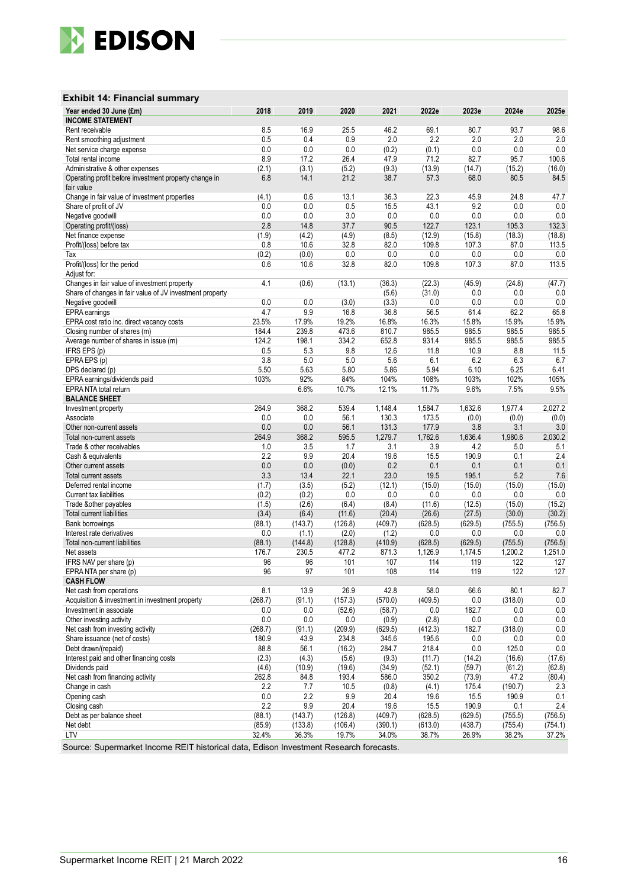

#### **Exhibit 14: Financial summary**

| Year ended 30 June (£m)                                                                  | 2018       | 2019          | 2020          | 2021          | 2022e         | 2023e        | 2024e          | 2025e           |
|------------------------------------------------------------------------------------------|------------|---------------|---------------|---------------|---------------|--------------|----------------|-----------------|
| <b>INCOME STATEMENT</b>                                                                  |            |               |               |               |               |              |                |                 |
| Rent receivable                                                                          | 8.5        | 16.9          | 25.5          | 46.2          | 69.1          | 80.7         | 93.7           | 98.6            |
| Rent smoothing adjustment                                                                | 0.5        | 0.4           | 0.9           | 2.0           | 2.2           | 2.0          | 2.0            | 2.0             |
| Net service charge expense                                                               | 0.0<br>8.9 | 0.0           | 0.0           | (0.2)         | (0.1)<br>71.2 | 0.0<br>82.7  | 0.0            | 0.0             |
| Total rental income                                                                      | (2.1)      | 17.2<br>(3.1) | 26.4<br>(5.2) | 47.9          | (13.9)        | (14.7)       | 95.7<br>(15.2) | 100.6<br>(16.0) |
| Administrative & other expenses<br>Operating profit before investment property change in | 6.8        | 14.1          | 21.2          | (9.3)<br>38.7 | 57.3          | 68.0         | 80.5           | 84.5            |
| fair value                                                                               |            |               |               |               |               |              |                |                 |
| Change in fair value of investment properties                                            | (4.1)      | 0.6           | 13.1          | 36.3          | 22.3          | 45.9         | 24.8           | 47.7            |
| Share of profit of JV                                                                    | 0.0        | 0.0           | 0.5           | 15.5          | 43.1          | 9.2          | 0.0            | 0.0             |
| Negative goodwill                                                                        | 0.0        | 0.0           | 3.0           | 0.0           | $0.0\,$       | 0.0          | 0.0            | $0.0\,$         |
| Operating profit/(loss)                                                                  | 2.8        | 14.8          | 37.7          | 90.5          | 122.7         | 123.1        | 105.3          | 132.3           |
| Net finance expense                                                                      | (1.9)      | (4.2)         | (4.9)         | (8.5)         | (12.9)        | (15.8)       | (18.3)         | (18.8)          |
| Profit/(loss) before tax                                                                 | 0.8        | 10.6          | 32.8          | 82.0          | 109.8         | 107.3        | 87.0           | 113.5           |
| Tax                                                                                      | (0.2)      | (0.0)         | 0.0           | 0.0           | 0.0           | 0.0          | 0.0            | 0.0             |
| Profit/(loss) for the period                                                             | 0.6        | 10.6          | 32.8          | 82.0          | 109.8         | 107.3        | 87.0           | 113.5           |
| Adjust for:                                                                              |            |               |               |               |               |              |                |                 |
| Changes in fair value of investment property                                             | 4.1        | (0.6)         | (13.1)        | (36.3)        | (22.3)        | (45.9)       | (24.8)         | (47.7)          |
| Share of changes in fair value of JV investment property                                 |            |               |               | (5.6)         | (31.0)        | 0.0          | 0.0            | 0.0             |
| Negative goodwill                                                                        | 0.0        | 0.0           | (3.0)         | (3.3)         | 0.0           | 0.0          | 0.0            | $0.0\,$         |
| EPRA earnings                                                                            | 4.7        | 9.9           | 16.8          | 36.8          | 56.5          | 61.4         | 62.2           | 65.8            |
| EPRA cost ratio inc. direct vacancy costs                                                | 23.5%      | 17.9%         | 19.2%         | 16.8%         | 16.3%         | 15.8%        | 15.9%          | 15.9%           |
| Closing number of shares (m)                                                             | 184.4      | 239.8         | 473.6         | 810.7         | 985.5         | 985.5        | 985.5          | 985.5           |
| Average number of shares in issue (m)                                                    | 124.2      | 198.1         | 334.2         | 652.8         | 931.4         | 985.5        | 985.5          | 985.5           |
| IFRS EPS (p)                                                                             | 0.5        | 5.3           | 9.8           | 12.6          | 11.8          | 10.9         | 8.8            | 11.5            |
| EPRAEPS (p)                                                                              | 3.8        | 5.0           | 5.0           | 5.6           | 6.1           | 6.2          | 6.3            | 6.7             |
| DPS declared (p)                                                                         | 5.50       | 5.63          | 5.80          | 5.86          | 5.94          | 6.10         | 6.25           | 6.41            |
| EPRA earnings/dividends paid                                                             | 103%       | 92%           | 84%           | 104%          | 108%          | 103%         | 102%           | 105%            |
| EPRA NTA total return                                                                    |            | 6.6%          | 10.7%         | 12.1%         | 11.7%         | 9.6%         | 7.5%           | 9.5%            |
| <b>BALANCE SHEET</b>                                                                     |            |               |               |               |               |              |                |                 |
| Investment property                                                                      | 264.9      | 368.2         | 539.4         | 1,148.4       | 1,584.7       | 1,632.6      | 1,977.4        | 2,027.2         |
| Associate                                                                                | 0.0        | 0.0           | 56.1          | 130.3         | 173.5         | (0.0)        | (0.0)          | (0.0)           |
| Other non-current assets                                                                 | 0.0        | 0.0           | 56.1          | 131.3         | 177.9         | 3.8          | 3.1            | $3.0\,$         |
| Total non-current assets                                                                 | 264.9      | 368.2         | 595.5         | 1,279.7       | 1,762.6       | 1,636.4      | 1,980.6        | 2,030.2         |
| Trade & other receivables                                                                | 1.0        | 3.5           | 1.7           | 3.1           | 3.9           | 4.2          | 5.0            | 5.1             |
| Cash & equivalents                                                                       | 2.2        | 9.9           | 20.4          | 19.6          | 15.5          | 190.9        | 0.1            | 2.4             |
| Other current assets                                                                     | 0.0<br>3.3 | 0.0<br>13.4   | (0.0)<br>22.1 | 0.2<br>23.0   | 0.1<br>19.5   | 0.1<br>195.1 | 0.1<br>5.2     | 0.1<br>7.6      |
| Total current assets<br>Deferred rental income                                           | (1.7)      | (3.5)         | (5.2)         | (12.1)        | (15.0)        | (15.0)       | (15.0)         | (15.0)          |
| Current tax liabilities                                                                  | (0.2)      | (0.2)         | 0.0           | 0.0           | 0.0           | 0.0          | 0.0            | 0.0             |
| Trade &other payables                                                                    | (1.5)      | (2.6)         | (6.4)         | (8.4)         | (11.6)        | (12.5)       | (15.0)         | (15.2)          |
| Total current liabilities                                                                | (3.4)      | (6.4)         | (11.6)        | (20.4)        | (26.6)        | (27.5)       | (30.0)         | (30.2)          |
| <b>Bank borrowings</b>                                                                   | (88.1)     | (143.7)       | (126.8)       | (409.7)       | (628.5)       | (629.5)      | (755.5)        | (756.5)         |
| Interest rate derivatives                                                                | 0.0        | (1.1)         | (2.0)         | (1.2)         | 0.0           | 0.0          | 0.0            | 0.0             |
| Total non-current liabilities                                                            | (88.1)     | (144.8)       | (128.8)       | (410.9)       | (628.5)       | (629.5)      | (755.5)        | (756.5)         |
| Net assets                                                                               | 176.7      | 230.5         | 477.2         | 871.3         | 1,126.9       | 1,174.5      | 1,200.2        | 1,251.0         |
| IFRS NAV per share (p)                                                                   | 96         | 96            | 101           | 107           | 114           | 119          | 122            | 127             |
| EPRA NTA per share (p)                                                                   | 96         | 97            | 101           | 108           | 114           | 119          | 122            | 127             |
| <b>CASH FLOW</b>                                                                         |            |               |               |               |               |              |                |                 |
| Net cash from operations                                                                 | 8.1        | 13.9          | 26.9          | 42.8          | 58.0          | 66.6         | 80.1           | 82.7            |
| Acquisition & investment in investment property                                          | (268.7)    | (91.1)        | (157.3)       | (570.0)       | (409.5)       | 0.0          | (318.0)        | 0.0             |
| Investment in associate                                                                  | 0.0        | 0.0           | (52.6)        | (58.7)        | 0.0           | 182.7        | 0.0            | 0.0             |
| Other investing activity                                                                 | 0.0        | 0.0           | 0.0           | (0.9)         | (2.8)         | 0.0          | 0.0            | 0.0             |
| Net cash from investing activity                                                         | (268.7)    | (91.1)        | (209.9)       | (629.5)       | (412.3)       | 182.7        | (318.0)        | 0.0             |
| Share issuance (net of costs)                                                            | 180.9      | 43.9          | 234.8         | 345.6         | 195.6         | 0.0          | 0.0            | 0.0             |
| Debt drawn/(repaid)                                                                      | 88.8       | 56.1          | (16.2)        | 284.7         | 218.4         | 0.0          | 125.0          | 0.0             |
| Interest paid and other financing costs                                                  | (2.3)      | (4.3)         | (5.6)         | (9.3)         | (11.7)        | (14.2)       | (16.6)         | (17.6)          |
| Dividends paid                                                                           | (4.6)      | (10.9)        | (19.6)        | (34.9)        | (52.1)        | (59.7)       | (61.2)         | (62.8)          |
| Net cash from financing activity                                                         | 262.8      | 84.8          | 193.4         | 586.0         | 350.2         | (73.9)       | 47.2           | (80.4)          |
| Change in cash                                                                           | 2.2        | 7.7           | 10.5          | (0.8)         | (4.1)         | 175.4        | (190.7)        | 2.3             |
| Opening cash                                                                             | $0.0\,$    | 2.2           | 9.9           | 20.4          | 19.6          | 15.5         | 190.9          | 0.1             |
| Closing cash                                                                             | 2.2        | 9.9           | 20.4          | 19.6          | 15.5          | 190.9        | 0.1            | 2.4             |
| Debt as per balance sheet                                                                | (88.1)     | (143.7)       | (126.8)       | (409.7)       | (628.5)       | (629.5)      | (755.5)        | (756.5)         |
| Net debt                                                                                 | (85.9)     | (133.8)       | (106.4)       | (390.1)       | (613.0)       | (438.7)      | (755.4)        | (754.1)         |
| LTV                                                                                      | 32.4%      | 36.3%         | 19.7%         | 34.0%         | 38.7%         | 26.9%        | 38.2%          | 37.2%           |

Source: Supermarket Income REIT historical data, Edison Investment Research forecasts.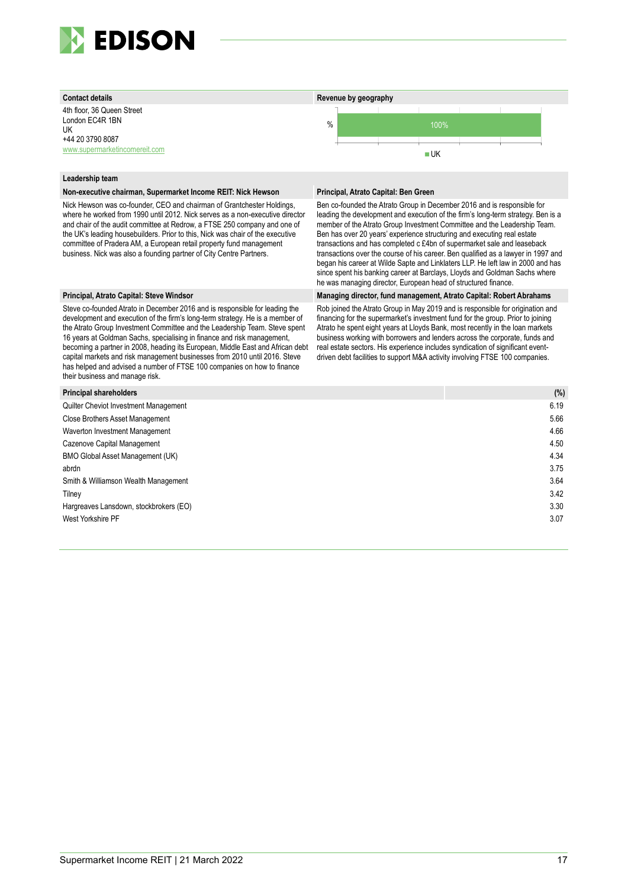

4th floor, 36 Queen Street London EC4R 1BN UK +44 20 3790 8087 [www.supermarketincomereit.com](http://www.supermarketincomereit.com/)



#### **Leadership team**

#### **Non-executive chairman, Supermarket Income REIT: Nick Hewson Principal, Atrato Capital: Ben Green**

Nick Hewson was co-founder, CEO and chairman of Grantchester Holdings, where he worked from 1990 until 2012. Nick serves as a non-executive director and chair of the audit committee at Redrow, a FTSE 250 company and one of the UK's leading housebuilders. Prior to this, Nick was chair of the executive committee of Pradera AM, a European retail property fund management business. Nick was also a founding partner of City Centre Partners.

Steve co-founded Atrato in December 2016 and is responsible for leading the development and execution of the firm's long-term strategy. He is a member of the Atrato Group Investment Committee and the Leadership Team. Steve spent 16 years at Goldman Sachs, specialising in finance and risk management, becoming a partner in 2008, heading its European, Middle East and African debt capital markets and risk management businesses from 2010 until 2016. Steve has helped and advised a number of FTSE 100 companies on how to finance their business and manage risk.

Ben co-founded the Atrato Group in December 2016 and is responsible for leading the development and execution of the firm's long-term strategy. Ben is a member of the Atrato Group Investment Committee and the Leadership Team. Ben has over 20 years' experience structuring and executing real estate transactions and has completed c £4bn of supermarket sale and leaseback transactions over the course of his career. Ben qualified as a lawyer in 1997 and began his career at Wilde Sapte and Linklaters LLP. He left law in 2000 and has since spent his banking career at Barclays, Lloyds and Goldman Sachs where he was managing director, European head of structured finance.

#### **Principal, Atrato Capital: Steve Windsor Managing director, fund management, Atrato Capital: Robert Abrahams**

Rob joined the Atrato Group in May 2019 and is responsible for origination and financing for the supermarket's investment fund for the group. Prior to joining Atrato he spent eight years at Lloyds Bank, most recently in the loan markets business working with borrowers and lenders across the corporate, funds and real estate sectors. His experience includes syndication of significant eventdriven debt facilities to support M&A activity involving FTSE 100 companies.

| <b>Principal shareholders</b>          | (%)  |
|----------------------------------------|------|
| Quilter Cheviot Investment Management  | 6.19 |
| <b>Close Brothers Asset Management</b> | 5.66 |
| Waverton Investment Management         | 4.66 |
| Cazenove Capital Management            | 4.50 |
| BMO Global Asset Management (UK)       | 4.34 |
| abrdn                                  | 3.75 |
| Smith & Williamson Wealth Management   | 3.64 |
| Tilney                                 | 3.42 |
| Hargreaves Lansdown, stockbrokers (EO) | 3.30 |
| West Yorkshire PF                      | 3.07 |
|                                        |      |